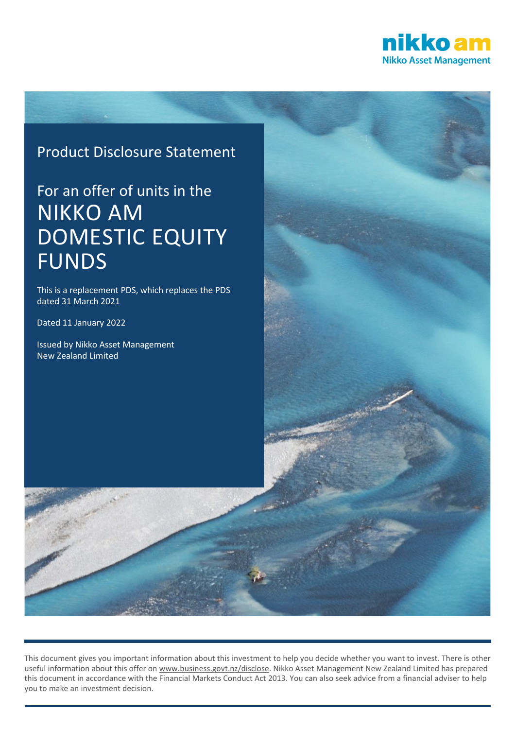

# Product Disclosure Statement

# For an offer of units in the NIKKO AM DOMESTIC EQUITY FUNDS

This is a replacement PDS, which replaces the PDS dated 31 March 2021

Dated 11 January 2022

Issued by Nikko Asset Management New Zealand Limited



This document gives you important information about this investment to help you decide whether you want to invest. There is other useful information about this offer on [www.business.govt.nz/disclose.](http://www.business.govt.nz/disclose) Nikko Asset Management New Zealand Limited has prepared this document in accordance with the Financial Markets Conduct Act 2013. You can also seek advice from a financial adviser to help you to make an investment decision.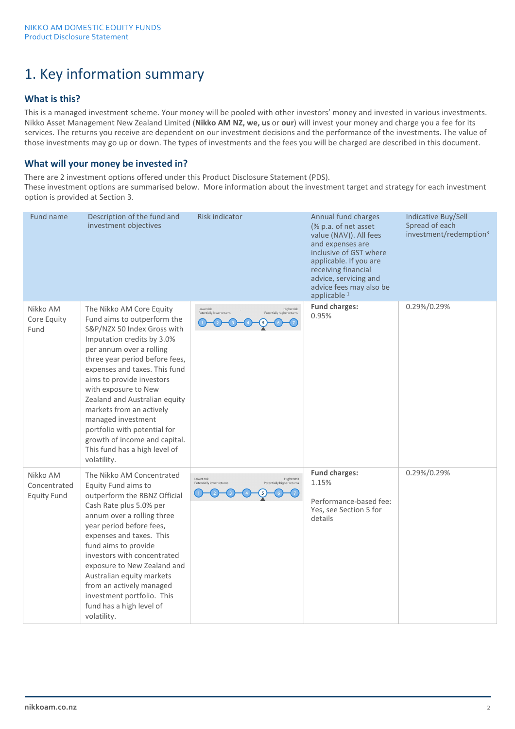# 1. Key information summary

# **What is this?**

This is a managed investment scheme. Your money will be pooled with other investors' money and invested in various investments. Nikko Asset Management New Zealand Limited (**Nikko AM NZ, we, us** or **our**) will invest your money and charge you a fee for its services. The returns you receive are dependent on our investment decisions and the performance of the investments. The value of those investments may go up or down. The types of investments and the fees you will be charged are described in this document.

# **What will your money be invested in?**

There are 2 investment options offered under this Product Disclosure Statement (PDS).

These investment options are summarised below. More information about the investment target and strategy for each investment option is provided at Section 3.

| Fund name                                      | Description of the fund and<br>investment objectives                                                                                                                                                                                                                                                                                                                                                                                                                         | <b>Risk indicator</b>                                                                | Annual fund charges<br>(% p.a. of net asset)<br>value (NAV)). All fees<br>and expenses are<br>inclusive of GST where<br>applicable. If you are<br>receiving financial<br>advice, servicing and<br>advice fees may also be<br>applicable <sup>1</sup> | Indicative Buy/Sell<br>Spread of each<br>investment/redemption <sup>3</sup> |
|------------------------------------------------|------------------------------------------------------------------------------------------------------------------------------------------------------------------------------------------------------------------------------------------------------------------------------------------------------------------------------------------------------------------------------------------------------------------------------------------------------------------------------|--------------------------------------------------------------------------------------|------------------------------------------------------------------------------------------------------------------------------------------------------------------------------------------------------------------------------------------------------|-----------------------------------------------------------------------------|
| Nikko AM<br>Core Equity<br>Fund                | The Nikko AM Core Equity<br>Fund aims to outperform the<br>S&P/NZX 50 Index Gross with<br>Imputation credits by 3.0%<br>per annum over a rolling<br>three year period before fees,<br>expenses and taxes. This fund<br>aims to provide investors<br>with exposure to New<br>Zealand and Australian equity<br>markets from an actively<br>managed investment<br>portfolio with potential for<br>growth of income and capital.<br>This fund has a high level of<br>volatility. | Higher risk<br>Lower risk<br>Potentially lower returns<br>Potentially higher returns | <b>Fund charges:</b><br>0.95%                                                                                                                                                                                                                        | 0.29%/0.29%                                                                 |
| Nikko AM<br>Concentrated<br><b>Equity Fund</b> | The Nikko AM Concentrated<br>Equity Fund aims to<br>outperform the RBNZ Official<br>Cash Rate plus 5.0% per<br>annum over a rolling three<br>year period before fees,<br>expenses and taxes. This<br>fund aims to provide<br>investors with concentrated<br>exposure to New Zealand and<br>Australian equity markets<br>from an actively managed<br>investment portfolio. This<br>fund has a high level of<br>volatility.                                                    | Higher risk<br>Lower risk<br>Potentially higher returns<br>Potentially lower returns | <b>Fund charges:</b><br>1.15%<br>Performance-based fee:<br>Yes, see Section 5 for<br>details                                                                                                                                                         | 0.29%/0.29%                                                                 |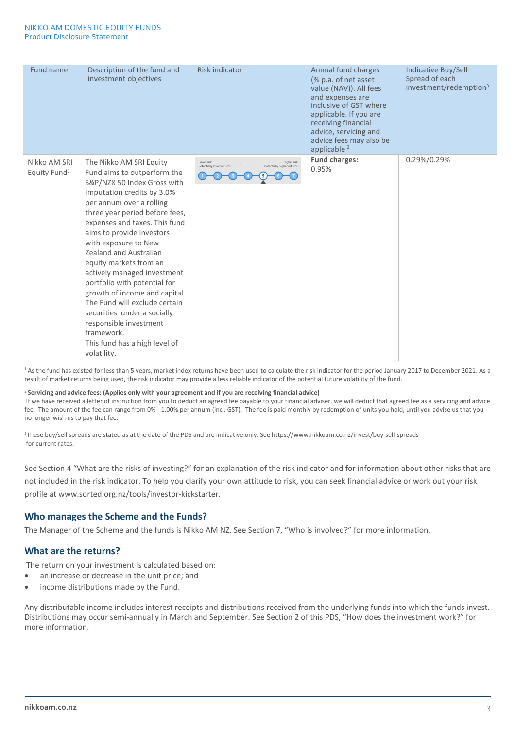| Fund name                                | Description of the fund and<br>investment objectives                                                                                                                                                                                                                                                                                                                                                                                                                                                                                                                                | <b>Risk indicator</b>                                                                | Annual fund charges<br>(% p.a. of net asset)<br>value (NAV)). All fees<br>and expenses are<br>inclusive of GST where<br>applicable. If you are<br>receiving financial<br>advice, servicing and<br>advice fees may also be<br>applicable <sup>2</sup> | Indicative Buy/Sell<br>Spread of each<br>investment/redemption <sup>3</sup> |
|------------------------------------------|-------------------------------------------------------------------------------------------------------------------------------------------------------------------------------------------------------------------------------------------------------------------------------------------------------------------------------------------------------------------------------------------------------------------------------------------------------------------------------------------------------------------------------------------------------------------------------------|--------------------------------------------------------------------------------------|------------------------------------------------------------------------------------------------------------------------------------------------------------------------------------------------------------------------------------------------------|-----------------------------------------------------------------------------|
| Nikko AM SRI<br>Equity Fund <sup>1</sup> | The Nikko AM SRI Equity<br>Fund aims to outperform the<br>S&P/NZX 50 Index Gross with<br>Imputation credits by 3.0%<br>per annum over a rolling<br>three year period before fees,<br>expenses and taxes. This fund<br>aims to provide investors<br>with exposure to New<br>Zealand and Australian<br>equity markets from an<br>actively managed investment<br>portfolio with potential for<br>growth of income and capital.<br>The Fund will exclude certain<br>securities under a socially<br>responsible investment<br>framework.<br>This fund has a high level of<br>volatility. | Higher risk<br>Lower risk<br>Potentially lower returns<br>Potentially higher returns | <b>Fund charges:</b><br>0.95%                                                                                                                                                                                                                        | 0.29%/0.29%                                                                 |

<sup>1</sup> As the fund has existed for less than 5 years, market index returns have been used to calculate the risk indicator for the period January 2017 to December 2021. As a result of market returns being used, the risk indicator may provide a less reliable indicator of the potential future volatility of the fund.

#### <sup>2</sup>**Servicing and advice fees: (Applies only with your agreement and if you are receiving financial advice)**

If we have received a letter of instruction from you to deduct an agreed fee payable to your financial adviser, we will deduct that agreed fee as a servicing and advice fee. The amount of the fee can range from 0% - 1.00% per annum (incl. GST). The fee is paid monthly by redemption of units you hold, until you advise us that you no longer wish us to pay that fee.

<sup>3</sup>These buy/sell spreads are stated as at the date of the PDS and are indicative only. See <https://www.nikkoam.co.nz/invest/buy-sell-spreads> for current rates.

See Section 4 "What are the risks of investing?" for an explanation of the risk indicator and for information about other risks that are not included in the risk indicator. To help you clarify your own attitude to risk, you can seek financial advice or work out your risk profile a[t www.sorted.org.nz/tools/investor-kickstarter.](http://www.sorted.org.nz/tools/investor-kickstarter)

## **Who manages the Scheme and the Funds?**

The Manager of the Scheme and the funds is Nikko AM NZ. See Section 7, "Who is involved?" for more information.

## **What are the returns?**

The return on your investment is calculated based on:

- an increase or decrease in the unit price; and
- income distributions made by the Fund.

Any distributable income includes interest receipts and distributions received from the underlying funds into which the funds invest. Distributions may occur semi-annually in March and September. See Section 2 of this PDS, "How does the investment work?" for more information.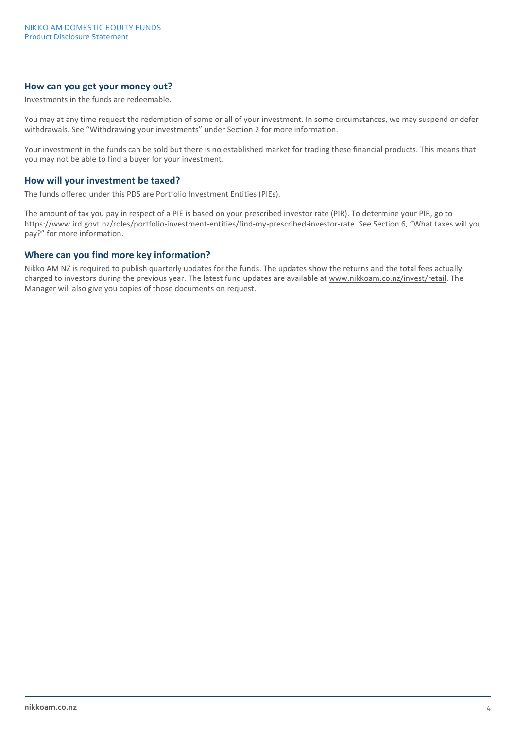# **How can you get your money out?**

Investments in the funds are redeemable.

You may at any time request the redemption of some or all of your investment. In some circumstances, we may suspend or defer withdrawals. See "Withdrawing your investments" under Section 2 for more information.

Your investment in the funds can be sold but there is no established market for trading these financial products. This means that you may not be able to find a buyer for your investment.

#### **How will your investment be taxed?**

The funds offered under this PDS are Portfolio Investment Entities (PIEs).

The amount of tax you pay in respect of a PIE is based on your prescribed investor rate (PIR). To determine your PIR, go to https://www.ird.govt.nz/roles/portfolio-investment-entities/find-my-prescribed-investor-rate. See Section 6, "What taxes will you pay?" for more information.

#### **Where can you find more key information?**

Nikko AM NZ is required to publish quarterly updates for the funds. The updates show the returns and the total fees actually charged to investors during the previous year. The latest fund updates are available at www.nikkoam.co.nz/invest/retail. The Manager will also give you copies of those documents on request.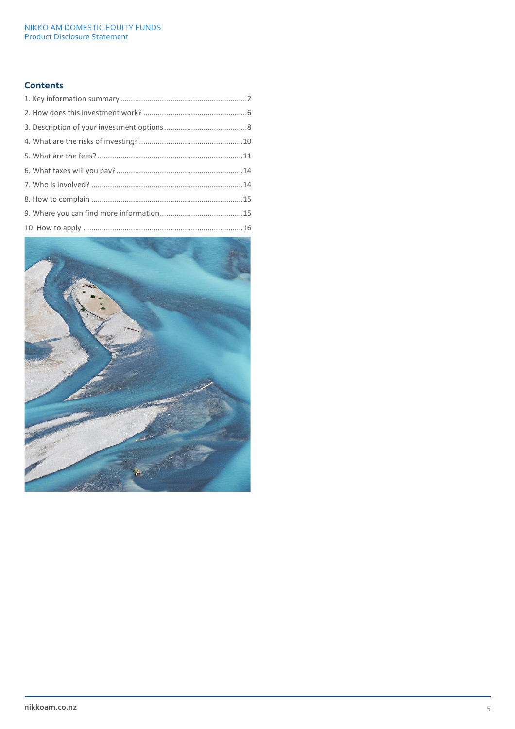# **Contents**

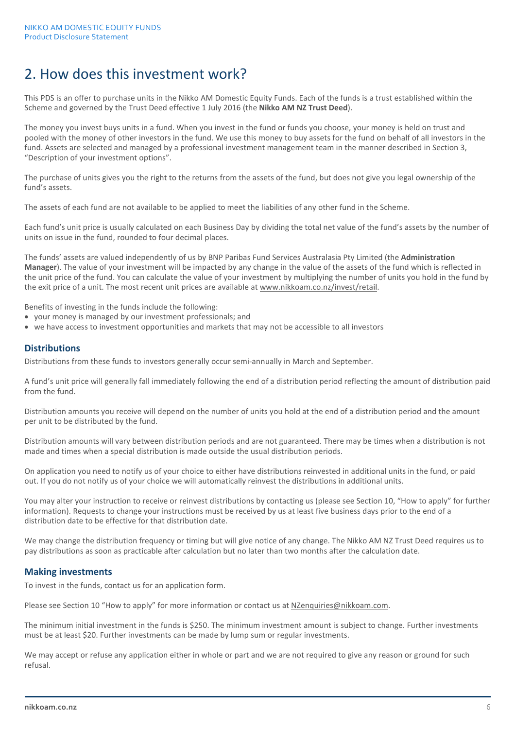# 2. How does this investment work?

This PDS is an offer to purchase units in the Nikko AM Domestic Equity Funds. Each of the funds is a trust established within the Scheme and governed by the Trust Deed effective 1 July 2016 (the **Nikko AM NZ Trust Deed**).

The money you invest buys units in a fund. When you invest in the fund or funds you choose, your money is held on trust and pooled with the money of other investors in the fund. We use this money to buy assets for the fund on behalf of all investors in the fund. Assets are selected and managed by a professional investment management team in the manner described in Section 3, "Description of your investment options".

The purchase of units gives you the right to the returns from the assets of the fund, but does not give you legal ownership of the fund's assets.

The assets of each fund are not available to be applied to meet the liabilities of any other fund in the Scheme.

Each fund's unit price is usually calculated on each Business Day by dividing the total net value of the fund's assets by the number of units on issue in the fund, rounded to four decimal places.

The funds' assets are valued independently of us by BNP Paribas Fund Services Australasia Pty Limited (the **Administration Manager**). The value of your investment will be impacted by any change in the value of the assets of the fund which is reflected in the unit price of the fund. You can calculate the value of your investment by multiplying the number of units you hold in the fund by the exit price of a unit. The most recent unit prices are available at www.nikkoam.co.nz/invest/retail.

Benefits of investing in the funds include the following:

- your money is managed by our investment professionals; and
- we have access to investment opportunities and markets that may not be accessible to all investors

## **Distributions**

Distributions from these funds to investors generally occur semi-annually in March and September.

A fund's unit price will generally fall immediately following the end of a distribution period reflecting the amount of distribution paid from the fund.

Distribution amounts you receive will depend on the number of units you hold at the end of a distribution period and the amount per unit to be distributed by the fund.

Distribution amounts will vary between distribution periods and are not guaranteed. There may be times when a distribution is not made and times when a special distribution is made outside the usual distribution periods.

On application you need to notify us of your choice to either have distributions reinvested in additional units in the fund, or paid out. If you do not notify us of your choice we will automatically reinvest the distributions in additional units.

You may alter your instruction to receive or reinvest distributions by contacting us (please see Section 10, "How to apply" for further information). Requests to change your instructions must be received by us at least five business days prior to the end of a distribution date to be effective for that distribution date.

We may change the distribution frequency or timing but will give notice of any change. The Nikko AM NZ Trust Deed requires us to pay distributions as soon as practicable after calculation but no later than two months after the calculation date.

## **Making investments**

To invest in the funds, contact us for an application form.

Please see Section 10 "How to apply" for more information or contact us a[t NZenquiries@nikkoam.com.](mailto:NZenquiries@nikkoam.com)

The minimum initial investment in the funds is \$250. The minimum investment amount is subject to change. Further investments must be at least \$20. Further investments can be made by lump sum or regular investments.

We may accept or refuse any application either in whole or part and we are not required to give any reason or ground for such refusal.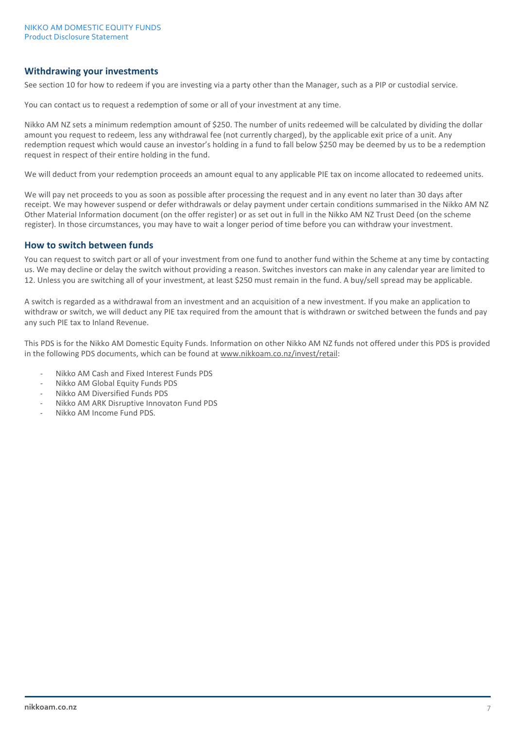## **Withdrawing your investments**

See section 10 for how to redeem if you are investing via a party other than the Manager, such as a PIP or custodial service.

You can contact us to request a redemption of some or all of your investment at any time.

Nikko AM NZ sets a minimum redemption amount of \$250. The number of units redeemed will be calculated by dividing the dollar amount you request to redeem, less any withdrawal fee (not currently charged), by the applicable exit price of a unit. Any redemption request which would cause an investor's holding in a fund to fall below \$250 may be deemed by us to be a redemption request in respect of their entire holding in the fund.

We will deduct from your redemption proceeds an amount equal to any applicable PIE tax on income allocated to redeemed units.

We will pay net proceeds to you as soon as possible after processing the request and in any event no later than 30 days after receipt. We may however suspend or defer withdrawals or delay payment under certain conditions summarised in the Nikko AM NZ Other Material Information document (on the offer register) or as set out in full in the Nikko AM NZ Trust Deed (on the scheme register). In those circumstances, you may have to wait a longer period of time before you can withdraw your investment.

## **How to switch between funds**

You can request to switch part or all of your investment from one fund to another fund within the Scheme at any time by contacting us. We may decline or delay the switch without providing a reason. Switches investors can make in any calendar year are limited to 12. Unless you are switching all of your investment, at least \$250 must remain in the fund. A buy/sell spread may be applicable.

A switch is regarded as a withdrawal from an investment and an acquisition of a new investment. If you make an application to withdraw or switch, we will deduct any PIE tax required from the amount that is withdrawn or switched between the funds and pay any such PIE tax to Inland Revenue.

This PDS is for the Nikko AM Domestic Equity Funds. Information on other Nikko AM NZ funds not offered under this PDS is provided in the following PDS documents, which can be found at www.nikkoam.co.nz/invest/retail:

- Nikko AM Cash and Fixed Interest Funds PDS
- Nikko AM Global Equity Funds PDS
- Nikko AM Diversified Funds PDS
- Nikko AM ARK Disruptive Innovaton Fund PDS
- Nikko AM Income Fund PDS.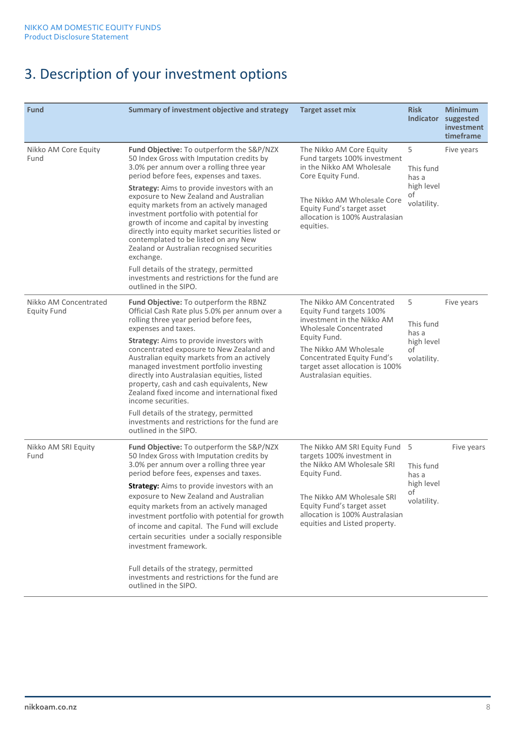# 3. Description of your investment options

| <b>Fund</b>                                 | Summary of investment objective and strategy                                                                                                                                                                                                                                                                                                                                                                                                                                                                                                                                                                                                                                                  | <b>Target asset mix</b>                                                                                                                                                                                                                            | <b>Risk</b>                                                | <b>Minimum</b><br>Indicator suggested<br>investment<br>timeframe |
|---------------------------------------------|-----------------------------------------------------------------------------------------------------------------------------------------------------------------------------------------------------------------------------------------------------------------------------------------------------------------------------------------------------------------------------------------------------------------------------------------------------------------------------------------------------------------------------------------------------------------------------------------------------------------------------------------------------------------------------------------------|----------------------------------------------------------------------------------------------------------------------------------------------------------------------------------------------------------------------------------------------------|------------------------------------------------------------|------------------------------------------------------------------|
| Nikko AM Core Equity<br>Fund                | Fund Objective: To outperform the S&P/NZX<br>50 Index Gross with Imputation credits by<br>3.0% per annum over a rolling three year<br>period before fees, expenses and taxes.<br><b>Strategy:</b> Aims to provide investors with an<br>exposure to New Zealand and Australian<br>equity markets from an actively managed<br>investment portfolio with potential for<br>growth of income and capital by investing<br>directly into equity market securities listed or<br>contemplated to be listed on any New<br>Zealand or Australian recognised securities<br>exchange.<br>Full details of the strategy, permitted<br>investments and restrictions for the fund are<br>outlined in the SIPO. | The Nikko AM Core Equity<br>Fund targets 100% investment<br>in the Nikko AM Wholesale<br>Core Equity Fund.<br>The Nikko AM Wholesale Core<br>Equity Fund's target asset<br>allocation is 100% Australasian<br>equities.                            | 5<br>This fund<br>has a<br>high level<br>of<br>volatility. | Five years                                                       |
| Nikko AM Concentrated<br><b>Equity Fund</b> | Fund Objective: To outperform the RBNZ<br>Official Cash Rate plus 5.0% per annum over a<br>rolling three year period before fees,<br>expenses and taxes.<br><b>Strategy:</b> Aims to provide investors with<br>concentrated exposure to New Zealand and<br>Australian equity markets from an actively<br>managed investment portfolio investing<br>directly into Australasian equities, listed<br>property, cash and cash equivalents, New<br>Zealand fixed income and international fixed<br>income securities.<br>Full details of the strategy, permitted<br>investments and restrictions for the fund are<br>outlined in the SIPO.                                                         | The Nikko AM Concentrated<br>Equity Fund targets 100%<br>investment in the Nikko AM<br>Wholesale Concentrated<br>Equity Fund.<br>The Nikko AM Wholesale<br>Concentrated Equity Fund's<br>target asset allocation is 100%<br>Australasian equities. | 5<br>This fund<br>has a<br>high level<br>οf<br>volatility. | Five years                                                       |
| Nikko AM SRI Equity<br>Fund                 | Fund Objective: To outperform the S&P/NZX<br>50 Index Gross with Imputation credits by<br>3.0% per annum over a rolling three year<br>period before fees, expenses and taxes.<br><b>Strategy:</b> Aims to provide investors with an<br>exposure to New Zealand and Australian<br>equity markets from an actively managed<br>investment portfolio with potential for growth<br>of income and capital. The Fund will exclude<br>certain securities under a socially responsible<br>investment framework.<br>Full details of the strategy, permitted<br>investments and restrictions for the fund are<br>outlined in the SIPO.                                                                   | The Nikko AM SRI Equity Fund 5<br>targets 100% investment in<br>the Nikko AM Wholesale SRI<br>Equity Fund.<br>The Nikko AM Wholesale SRI<br>Equity Fund's target asset<br>allocation is 100% Australasian<br>equities and Listed property.         | This fund<br>has a<br>high level<br>οf<br>volatility.      | Five years                                                       |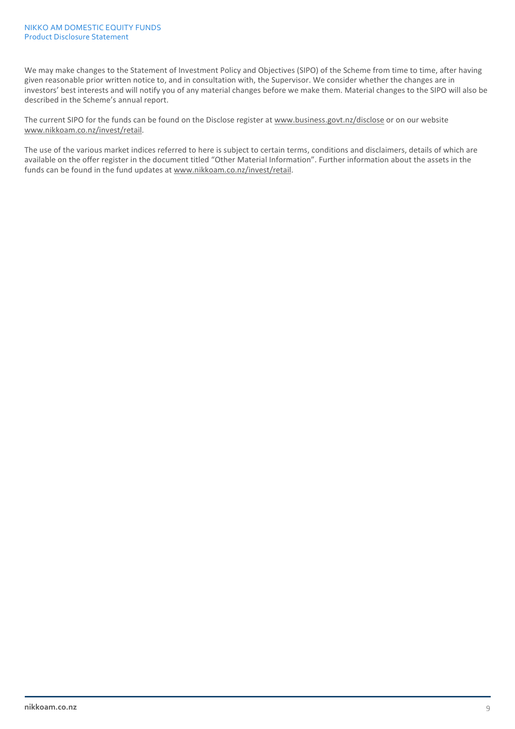#### NIKKO AM DOMESTIC EQUITY FUNDS Product Disclosure Statement

We may make changes to the Statement of Investment Policy and Objectives (SIPO) of the Scheme from time to time, after having given reasonable prior written notice to, and in consultation with, the Supervisor. We consider whether the changes are in investors' best interests and will notify you of any material changes before we make them. Material changes to the SIPO will also be described in the Scheme's annual report.

The current SIPO for the funds can be found on the Disclose register at [www.business.govt.nz/disclose](http://www.business.govt.nz/disclose) or on our website www.nikkoam.co.nz/invest/retail.

The use of the various market indices referred to here is subject to certain terms, conditions and disclaimers, details of which are available on the offer register in the document titled "Other Material Information". Further information about the assets in the funds can be found in the fund updates at www.nikkoam.co.nz/invest/retail.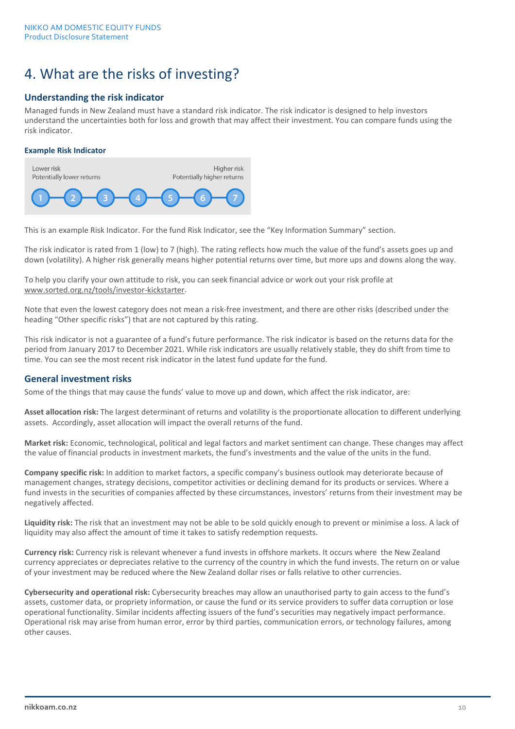# 4. What are the risks of investing?

# **Understanding the risk indicator**

Managed funds in New Zealand must have a standard risk indicator. The risk indicator is designed to help investors understand the uncertainties both for loss and growth that may affect their investment. You can compare funds using the risk indicator.

#### **Example Risk Indicator**



This is an example Risk Indicator. For the fund Risk Indicator, see the "Key Information Summary" section.

The risk indicator is rated from 1 (low) to 7 (high). The rating reflects how much the value of the fund's assets goes up and down (volatility). A higher risk generally means higher potential returns over time, but more ups and downs along the way.

To help you clarify your own attitude to risk, you can seek financial advice or work out your risk profile at [www.sorted.org.nz/tools/investor-kickstarter.](http://www.sorted.org.nz/tools/investor-kickstarter)

Note that even the lowest category does not mean a risk-free investment, and there are other risks (described under the heading "Other specific risks") that are not captured by this rating.

This risk indicator is not a guarantee of a fund's future performance. The risk indicator is based on the returns data for the period from January 2017 to December 2021. While risk indicators are usually relatively stable, they do shift from time to time. You can see the most recent risk indicator in the latest fund update for the fund.

## **General investment risks**

Some of the things that may cause the funds' value to move up and down, which affect the risk indicator, are:

**Asset allocation risk:** The largest determinant of returns and volatility is the proportionate allocation to different underlying assets. Accordingly, asset allocation will impact the overall returns of the fund.

**Market risk:** Economic, technological, political and legal factors and market sentiment can change. These changes may affect the value of financial products in investment markets, the fund's investments and the value of the units in the fund.

**Company specific risk:** In addition to market factors, a specific company's business outlook may deteriorate because of management changes, strategy decisions, competitor activities or declining demand for its products or services. Where a fund invests in the securities of companies affected by these circumstances, investors' returns from their investment may be negatively affected.

**Liquidity risk:** The risk that an investment may not be able to be sold quickly enough to prevent or minimise a loss. A lack of liquidity may also affect the amount of time it takes to satisfy redemption requests.

**Currency risk:** Currency risk is relevant whenever a fund invests in offshore markets. It occurs where the New Zealand currency appreciates or depreciates relative to the currency of the country in which the fund invests. The return on or value of your investment may be reduced where the New Zealand dollar rises or falls relative to other currencies.

**Cybersecurity and operational risk:** Cybersecurity breaches may allow an unauthorised party to gain access to the fund's assets, customer data, or propriety information, or cause the fund or its service providers to suffer data corruption or lose operational functionality. Similar incidents affecting issuers of the fund's securities may negatively impact performance. Operational risk may arise from human error, error by third parties, communication errors, or technology failures, among other causes.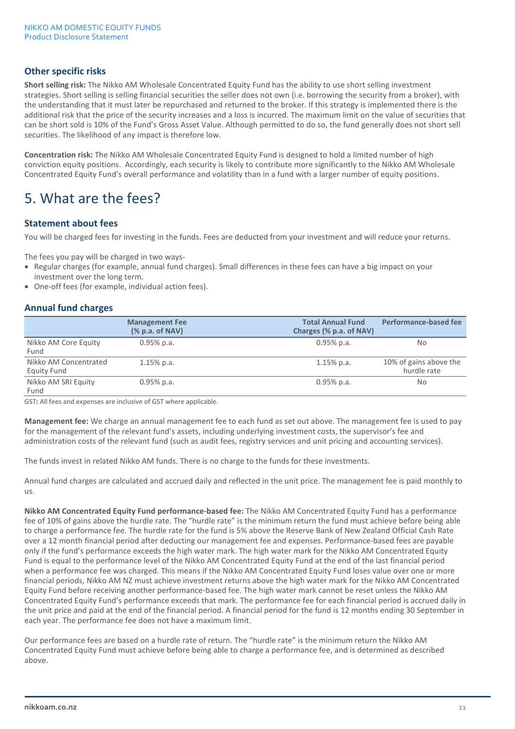# **Other specific risks**

**Short selling risk:** The Nikko AM Wholesale Concentrated Equity Fund has the ability to use short selling investment strategies. Short selling is selling financial securities the seller does not own (i.e. borrowing the security from a broker), with the understanding that it must later be repurchased and returned to the broker. If this strategy is implemented there is the additional risk that the price of the security increases and a loss is incurred. The maximum limit on the value of securities that can be short sold is 10% of the Fund's Gross Asset Value. Although permitted to do so, the fund generally does not short sell securities. The likelihood of any impact is therefore low.

**Concentration risk:** The Nikko AM Wholesale Concentrated Equity Fund is designed to hold a limited number of high conviction equity positions. Accordingly, each security is likely to contribute more significantly to the Nikko AM Wholesale Concentrated Equity Fund's overall performance and volatility than in a fund with a larger number of equity positions.

# 5. What are the fees?

## **Statement about fees**

You will be charged fees for investing in the funds. Fees are deducted from your investment and will reduce your returns.

The fees you pay will be charged in two ways-

- Regular charges (for example, annual fund charges). Small differences in these fees can have a big impact on your investment over the long term.
- One-off fees (for example, individual action fees).

## **Annual fund charges**

|                                      | <b>Management Fee</b><br>% p.a. of NAV | <b>Total Annual Fund</b><br>Charges (% p.a. of NAV) | Performance-based fee                 |
|--------------------------------------|----------------------------------------|-----------------------------------------------------|---------------------------------------|
| Nikko AM Core Equity<br>Fund         | $0.95\%$ p.a.                          | $0.95\%$ p.a.                                       | No                                    |
| Nikko AM Concentrated<br>Equity Fund | $1.15\%$ p.a.                          | $1.15%$ p.a.                                        | 10% of gains above the<br>hurdle rate |
| Nikko AM SRI Equity<br>Fund          | $0.95\%$ p.a.                          | $0.95\%$ p.a.                                       | No                                    |

GST**:** All fees and expenses are inclusive of GST where applicable.

**Management fee:** We charge an annual management fee to each fund as set out above. The management fee is used to pay for the management of the relevant fund's assets, including underlying investment costs, the supervisor's fee and administration costs of the relevant fund (such as audit fees, registry services and unit pricing and accounting services).

The funds invest in related Nikko AM funds. There is no charge to the funds for these investments.

Annual fund charges are calculated and accrued daily and reflected in the unit price. The management fee is paid monthly to us.

**Nikko AM Concentrated Equity Fund performance-based fee:** The Nikko AM Concentrated Equity Fund has a performance fee of 10% of gains above the hurdle rate. The "hurdle rate" is the minimum return the fund must achieve before being able to charge a performance fee. The hurdle rate for the fund is 5% above the Reserve Bank of New Zealand Official Cash Rate over a 12 month financial period after deducting our management fee and expenses. Performance-based fees are payable only if the fund's performance exceeds the high water mark. The high water mark for the Nikko AM Concentrated Equity Fund is equal to the performance level of the Nikko AM Concentrated Equity Fund at the end of the last financial period when a performance fee was charged. This means if the Nikko AM Concentrated Equity Fund loses value over one or more financial periods, Nikko AM NZ must achieve investment returns above the high water mark for the Nikko AM Concentrated Equity Fund before receiving another performance-based fee. The high water mark cannot be reset unless the Nikko AM Concentrated Equity Fund's performance exceeds that mark. The performance fee for each financial period is accrued daily in the unit price and paid at the end of the financial period. A financial period for the fund is 12 months ending 30 September in each year. The performance fee does not have a maximum limit.

Our performance fees are based on a hurdle rate of return. The "hurdle rate" is the minimum return the Nikko AM Concentrated Equity Fund must achieve before being able to charge a performance fee, and is determined as described above.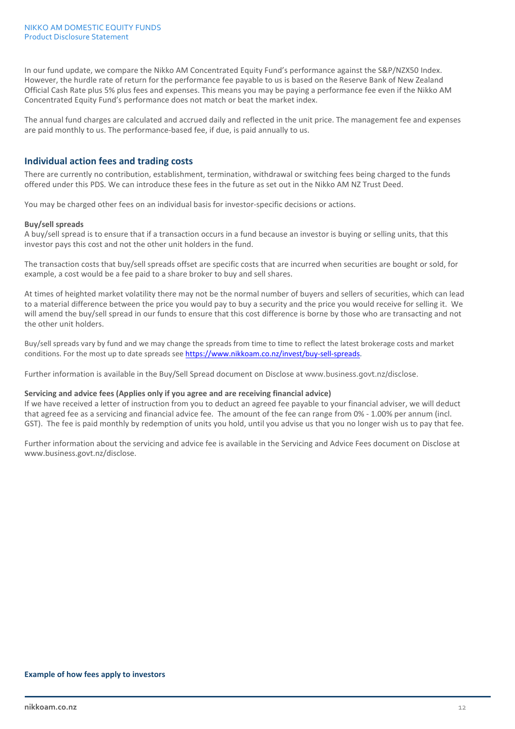In our fund update, we compare the Nikko AM Concentrated Equity Fund's performance against the S&P/NZX50 Index. However, the hurdle rate of return for the performance fee payable to us is based on the Reserve Bank of New Zealand Official Cash Rate plus 5% plus fees and expenses. This means you may be paying a performance fee even if the Nikko AM Concentrated Equity Fund's performance does not match or beat the market index.

The annual fund charges are calculated and accrued daily and reflected in the unit price. The management fee and expenses are paid monthly to us. The performance-based fee, if due, is paid annually to us.

## **Individual action fees and trading costs**

There are currently no contribution, establishment, termination, withdrawal or switching fees being charged to the funds offered under this PDS. We can introduce these fees in the future as set out in the Nikko AM NZ Trust Deed.

You may be charged other fees on an individual basis for investor-specific decisions or actions.

#### **Buy/sell spreads**

A buy/sell spread is to ensure that if a transaction occurs in a fund because an investor is buying or selling units, that this investor pays this cost and not the other unit holders in the fund.

The transaction costs that buy/sell spreads offset are specific costs that are incurred when securities are bought or sold, for example, a cost would be a fee paid to a share broker to buy and sell shares.

At times of heighted market volatility there may not be the normal number of buyers and sellers of securities, which can lead to a material difference between the price you would pay to buy a security and the price you would receive for selling it. We will amend the buy/sell spread in our funds to ensure that this cost difference is borne by those who are transacting and not the other unit holders.

Buy/sell spreads vary by fund and we may change the spreads from time to time to reflect the latest brokerage costs and market conditions. For the most up to date spreads se[e https://www.nikkoam.co.nz/invest/buy-sell-spreads.](https://www.nikkoam.co.nz/invest/buy-sell-spreads)

Further information is available in the Buy/Sell Spread document on Disclose at [www.business.govt.nz/disclose.](http://www.business.govt.nz/disclose)

#### **Servicing and advice fees (Applies only if you agree and are receiving financial advice)**

If we have received a letter of instruction from you to deduct an agreed fee payable to your financial adviser, we will deduct that agreed fee as a servicing and financial advice fee. The amount of the fee can range from 0% - 1.00% per annum (incl. GST). The fee is paid monthly by redemption of units you hold, until you advise us that you no longer wish us to pay that fee.

Further information about the servicing and advice fee is available in the Servicing and Advice Fees document on Disclose at [www.business.govt.nz/disclose.](http://www.business.govt.nz/disclose)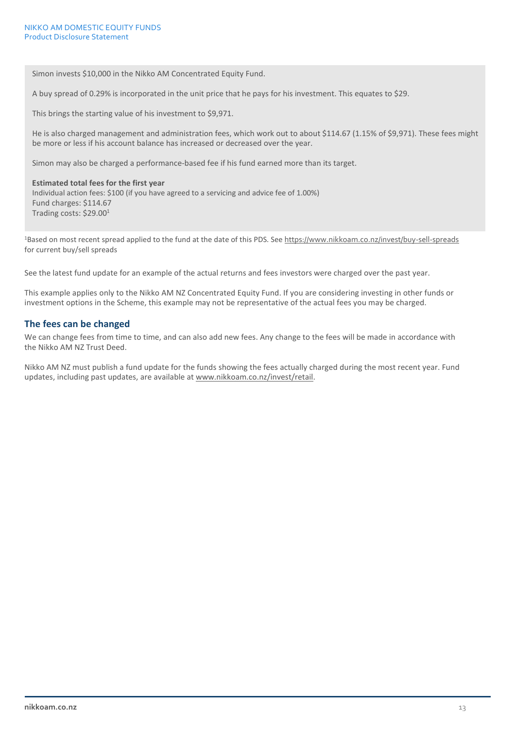Simon invests \$10,000 in the Nikko AM Concentrated Equity Fund.

A buy spread of 0.29% is incorporated in the unit price that he pays for his investment. This equates to \$29.

This brings the starting value of his investment to \$9,971.

He is also charged management and administration fees, which work out to about \$114.67 (1.15% of \$9,971). These fees might be more or less if his account balance has increased or decreased over the year.

Simon may also be charged a performance-based fee if his fund earned more than its target.

#### **Estimated total fees for the first year**

Individual action fees: \$100 (if you have agreed to a servicing and advice fee of 1.00%) Fund charges: \$114.67 Trading costs: \$29.001

1Based on most recent spread applied to the fund at the date of this PDS. See <https://www.nikkoam.co.nz/invest/buy-sell-spreads> for current buy/sell spreads

See the latest fund update for an example of the actual returns and fees investors were charged over the past year.

This example applies only to the Nikko AM NZ Concentrated Equity Fund. If you are considering investing in other funds or investment options in the Scheme, this example may not be representative of the actual fees you may be charged.

#### **The fees can be changed**

We can change fees from time to time, and can also add new fees. Any change to the fees will be made in accordance with the Nikko AM NZ Trust Deed.

Nikko AM NZ must publish a fund update for the funds showing the fees actually charged during the most recent year. Fund updates, including past updates, are available at www.nikkoam.co.nz/invest/retail.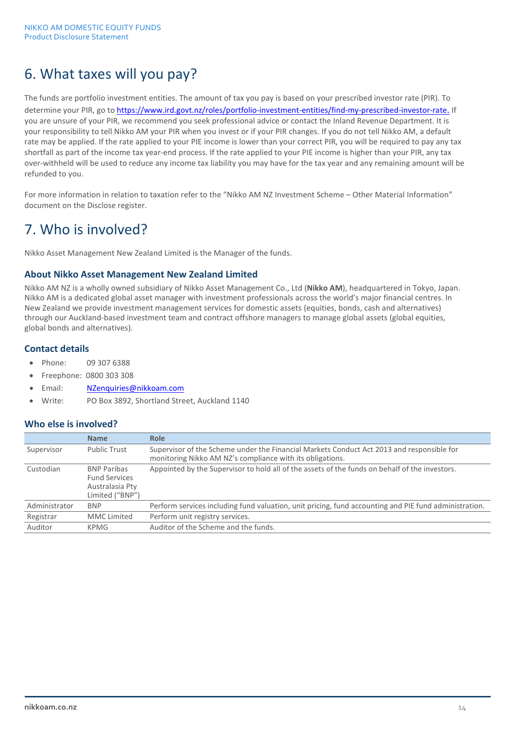# 6. What taxes will you pay?

The funds are portfolio investment entities. The amount of tax you pay is based on your prescribed investor rate (PIR). To determine your PIR, go to<https://www.ird.govt.nz/roles/portfolio-investment-entities/find-my-prescribed-investor-rate>. If you are unsure of your PIR, we recommend you seek professional advice or contact the Inland Revenue Department. It is your responsibility to tell Nikko AM your PIR when you invest or if your PIR changes. If you do not tell Nikko AM, a default rate may be applied. If the rate applied to your PIE income is lower than your correct PIR, you will be required to pay any tax shortfall as part of the income tax year-end process. If the rate applied to your PIE income is higher than your PIR, any tax over-withheld will be used to reduce any income tax liability you may have for the tax year and any remaining amount will be refunded to you.

For more information in relation to taxation refer to the "Nikko AM NZ Investment Scheme – Other Material Information" document on the Disclose register.

# 7. Who is involved?

Nikko Asset Management New Zealand Limited is the Manager of the funds.

#### **About Nikko Asset Management New Zealand Limited**

Nikko AM NZ is a wholly owned subsidiary of Nikko Asset Management Co., Ltd (**Nikko AM**), headquartered in Tokyo, Japan. Nikko AM is a dedicated global asset manager with investment professionals across the world's major financial centres. In New Zealand we provide investment management services for domestic assets (equities, bonds, cash and alternatives) through our Auckland-based investment team and contract offshore managers to manage global assets (global equities, global bonds and alternatives).

# **Contact details**

- Phone: 09 307 6388
- Freephone: 0800 303 308
- Email: [NZenquiries@nikkoam.com](mailto:NZenquiries@nikkoam.com)
- Write: PO Box 3892, Shortland Street, Auckland 1140

## **Who else is involved?**

|               | <b>Name</b>                                                                      | <b>Role</b>                                                                                                                                            |
|---------------|----------------------------------------------------------------------------------|--------------------------------------------------------------------------------------------------------------------------------------------------------|
| Supervisor    | Public Trust                                                                     | Supervisor of the Scheme under the Financial Markets Conduct Act 2013 and responsible for<br>monitoring Nikko AM NZ's compliance with its obligations. |
| Custodian     | <b>BNP Paribas</b><br><b>Fund Services</b><br>Australasia Pty<br>Limited ("BNP") | Appointed by the Supervisor to hold all of the assets of the funds on behalf of the investors.                                                         |
| Administrator | <b>BNP</b>                                                                       | Perform services including fund valuation, unit pricing, fund accounting and PIE fund administration.                                                  |
| Registrar     | <b>MMC</b> Limited                                                               | Perform unit registry services.                                                                                                                        |
| Auditor       | KPMG                                                                             | Auditor of the Scheme and the funds.                                                                                                                   |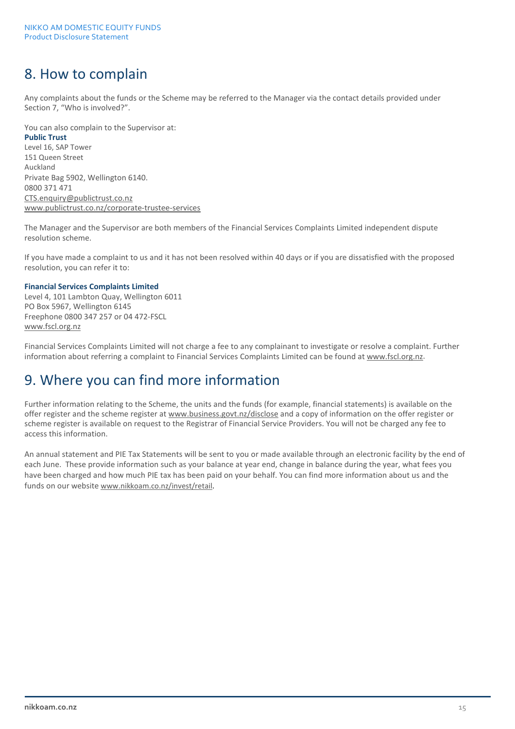# 8. How to complain

Any complaints about the funds or the Scheme may be referred to the Manager via the contact details provided under Section 7, "Who is involved?".

You can also complain to the Supervisor at: **Public Trust** Level 16, SAP Tower 151 Queen Street Auckland Private Bag 5902, Wellington 6140. 0800 371 471 CTS[.enquiry@publictrust.co.nz](mailto:enquiry@trustee.co.nz) [www.publictrust.co.nz/corporate-trustee-services](http://www.publictrust.co.nz/corporate-trustee-services)

The Manager and the Supervisor are both members of the Financial Services Complaints Limited independent dispute resolution scheme.

If you have made a complaint to us and it has not been resolved within 40 days or if you are dissatisfied with the proposed resolution, you can refer it to:

#### **Financial Services Complaints Limited**

Level 4, 101 Lambton Quay, Wellington 6011 PO Box 5967, Wellington 6145 Freephone 0800 347 257 or 04 472-FSCL [www.fscl.org.nz](http://www.fscl.org.nz/)

Financial Services Complaints Limited will not charge a fee to any complainant to investigate or resolve a complaint. Further information about referring a complaint to Financial Services Complaints Limited can be found a[t www.fscl.org.nz.](http://www.fscl.org.nz/)

# 9. Where you can find more information

Further information relating to the Scheme, the units and the funds (for example, financial statements) is available on the offer register and the scheme register a[t www.business.govt.nz/disclose](http://www.business.govt.nz/disclose) and a copy of information on the offer register or scheme register is available on request to the Registrar of Financial Service Providers. You will not be charged any fee to access this information.

An annual statement and PIE Tax Statements will be sent to you or made available through an electronic facility by the end of each June. These provide information such as your balance at year end, change in balance during the year, what fees you have been charged and how much PIE tax has been paid on your behalf. You can find more information about us and the funds on our website [www.nikkoam.co.nz/](http://www.nikkoam.co.nz/)invest/retail.